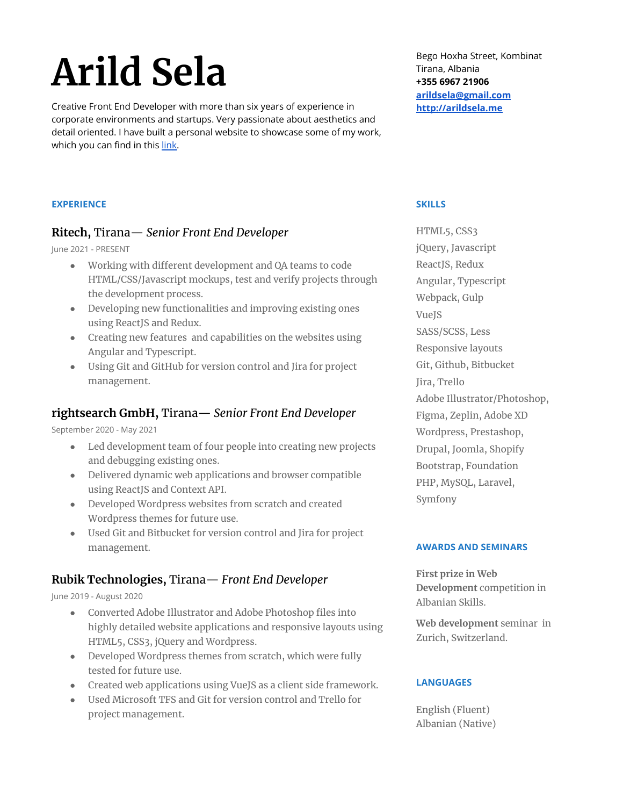# **Arild Sela**

Creative Front End Developer with more than six years of experience in corporate environments and startups. Very passionate about aesthetics and detail oriented. I have built a personal website to showcase some of my work, which you can find in this [link.](http://arildsela.me/)

Bego Hoxha Street, Kombinat Tirana, Albania **+355 6967 21906 [arildsela@gmail.com](mailto:arildsela@gmail.com) <http://arildsela.me>**

## **EXPERIENCE**

#### **Ritech,** Tirana— *Senior Front End Developer*

#### June 2021 - PRESENT

- Working with different development and QA teams to code HTML/CSS/Javascript mockups, test and verify projects through the development process.
- Developing new functionalities and improving existing ones using ReactJS and Redux.
- Creating new features and capabilities on the websites using Angular and Typescript.
- Using Git and GitHub for version control and Jira for project management.

## **rightsearch GmbH,** Tirana— *Senior Front End Developer*

September 2020 - May 2021

- **●** Led development team of four people into creating new projects and debugging existing ones.
- **●** Delivered dynamic web applications and browser compatible using ReactJS and Context API.
- Developed Wordpress websites from scratch and created Wordpress themes for future use.
- Used Git and Bitbucket for version control and Jira for project management.

## **Rubik Technologies,** Tirana— *Front End Developer*

June 2019 - August 2020

- Converted Adobe Illustrator and Adobe Photoshop files into highly detailed website applications and responsive layouts using HTML5, CSS3, jQuery and Wordpress.
- Developed Wordpress themes from scratch, which were fully tested for future use.
- Created web applications using VueJS as a client side framework.
- Used Microsoft TFS and Git for version control and Trello for project management.

#### **SKILLS**

HTML5, CSS3 jQuery, Javascript ReactJS, Redux Angular, Typescript Webpack, Gulp VueJS SASS/SCSS, Less Responsive layouts Git, Github, Bitbucket Jira, Trello Adobe Illustrator/Photoshop, Figma, Zeplin, Adobe XD Wordpress, Prestashop, Drupal, Joomla, Shopify Bootstrap, Foundation PHP, MySQL, Laravel, Symfony

#### **AWARDS AND SEMINARS**

**First prize in Web Development** competition in Albanian Skills.

**Web development** seminar in Zurich, Switzerland.

#### **LANGUAGES**

English (Fluent) Albanian (Native)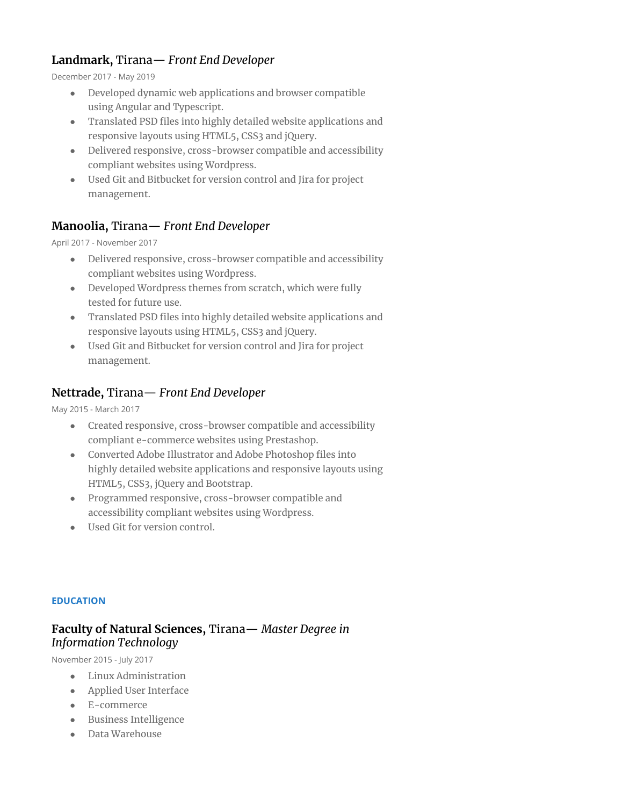# **Landmark,** Tirana— *Front End Developer*

December 2017 - May 2019

- Developed dynamic web applications and browser compatible using Angular and Typescript.
- Translated PSD files into highly detailed website applications and responsive layouts using HTML5, CSS3 and jQuery.
- Delivered responsive, cross-browser compatible and accessibility compliant websites using Wordpress.
- Used Git and Bitbucket for version control and Jira for project management.

# **Manoolia,** Tirana— *Front End Developer*

April 2017 - November 2017

- Delivered responsive, cross-browser compatible and accessibility compliant websites using Wordpress.
- Developed Wordpress themes from scratch, which were fully tested for future use.
- Translated PSD files into highly detailed website applications and responsive layouts using HTML5, CSS3 and jQuery.
- Used Git and Bitbucket for version control and Jira for project management.

# **Nettrade,** Tirana— *Front End Developer*

May 2015 - March 2017

- Created responsive, cross-browser compatible and accessibility compliant e-commerce websites using Prestashop.
- Converted Adobe Illustrator and Adobe Photoshop files into highly detailed website applications and responsive layouts using HTML5, CSS3, jQuery and Bootstrap.
- Programmed responsive, cross-browser compatible and accessibility compliant websites using Wordpress.
- Used Git for version control.

#### **EDUCATION**

# **Faculty of Natural Sciences,** Tirana— *Master Degree in Information Technology*

November 2015 - July 2017

- Linux Administration
- Applied User Interface
- E-commerce
- Business Intelligence
- Data Warehouse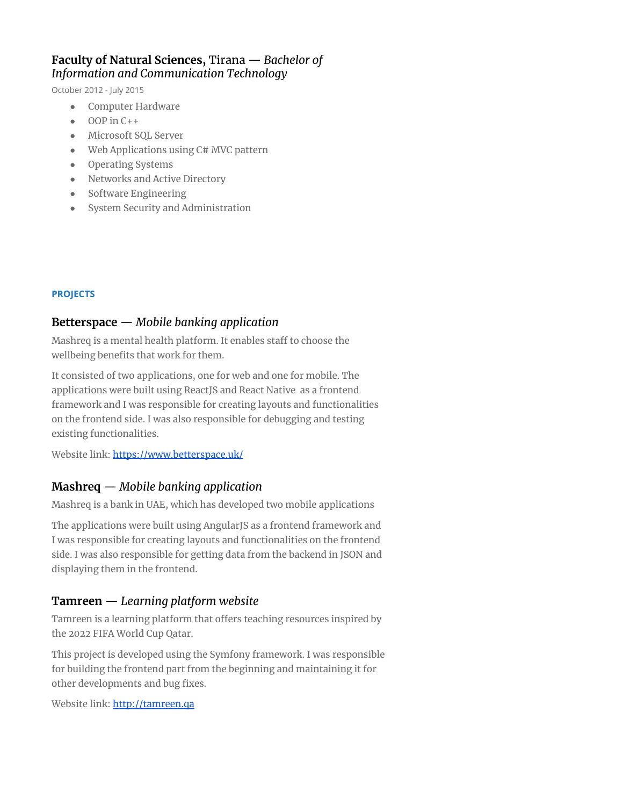## **Faculty of Natural Sciences,** Tirana — *Bachelor of Information and Communication Technology*

October 2012 - July 2015

- Computer Hardware
- $\bullet$  OOP in C++
- Microsoft SQL Server
- Web Applications using C# MVC pattern
- Operating Systems
- Networks and Active Directory
- Software Engineering
- System Security and Administration

## **PROJECTS**

## **Betterspace** — *Mobile banking application*

Mashreq is a mental health platform. It enables staff to choose the wellbeing benefits that work for them.

It consisted of two applications, one for web and one for mobile. The applications were built using ReactJS and React Native as a frontend framework and I was responsible for creating layouts and functionalities on the frontend side. I was also responsible for debugging and testing existing functionalities.

Website link: <https://www.betterspace.uk/>

# **Mashreq** — *Mobile banking application*

Mashreq is a bank in UAE, which has developed two mobile applications

The applications were built using AngularJS as a frontend framework and I was responsible for creating layouts and functionalities on the frontend side. I was also responsible for getting data from the backend in JSON and displaying them in the frontend.

# **Tamreen** — *Learning platform website*

Tamreen is a learning platform that offers teaching resources inspired by the 2022 FIFA World Cup Qatar.

This project is developed using the Symfony framework. I was responsible for building the frontend part from the beginning and maintaining it for other developments and bug fixes.

Website link: <http://tamreen.qa>